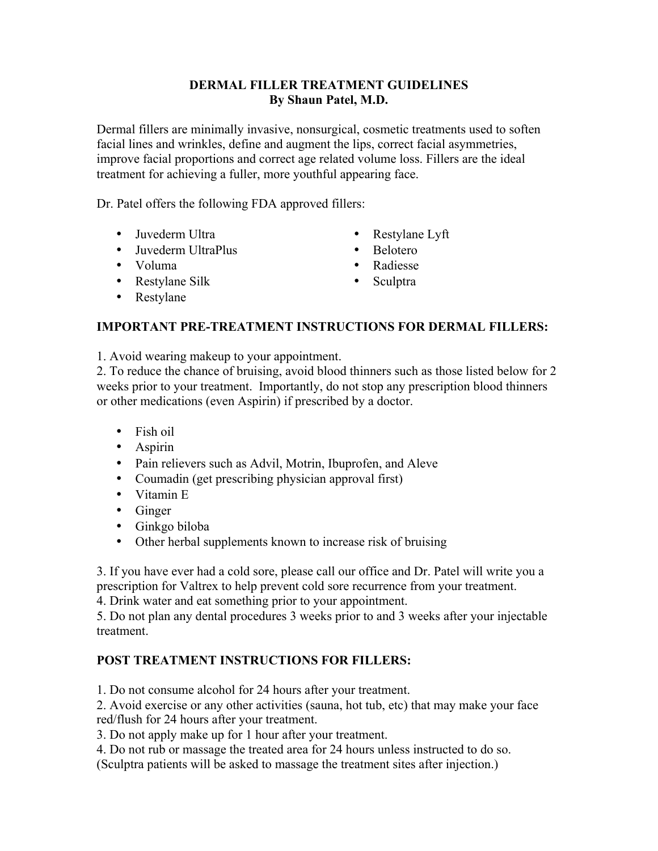# **DERMAL FILLER TREATMENT GUIDELINES By Shaun Patel, M.D.**

Dermal fillers are minimally invasive, nonsurgical, cosmetic treatments used to soften facial lines and wrinkles, define and augment the lips, correct facial asymmetries, improve facial proportions and correct age related volume loss. Fillers are the ideal treatment for achieving a fuller, more youthful appearing face.

Dr. Patel offers the following FDA approved fillers:

- Juvederm Ultra Restylane Lyft
- Juvederm UltraPlus Belotero
- Voluma Radiesse
- Restylane Silk Sculptra
- 
- 
- -

• Restylane

# **IMPORTANT PRE-TREATMENT INSTRUCTIONS FOR DERMAL FILLERS:**

1. Avoid wearing makeup to your appointment.

2. To reduce the chance of bruising, avoid blood thinners such as those listed below for 2 weeks prior to your treatment. Importantly, do not stop any prescription blood thinners or other medications (even Aspirin) if prescribed by a doctor.

- Fish oil
- Aspirin
- Pain relievers such as Advil, Motrin, Ibuprofen, and Aleve
- Coumadin (get prescribing physician approval first)
- Vitamin E
- Ginger
- Ginkgo biloba
- Other herbal supplements known to increase risk of bruising

3. If you have ever had a cold sore, please call our office and Dr. Patel will write you a prescription for Valtrex to help prevent cold sore recurrence from your treatment.

4. Drink water and eat something prior to your appointment.

5. Do not plan any dental procedures 3 weeks prior to and 3 weeks after your injectable treatment.

# **POST TREATMENT INSTRUCTIONS FOR FILLERS:**

1. Do not consume alcohol for 24 hours after your treatment.

2. Avoid exercise or any other activities (sauna, hot tub, etc) that may make your face red/flush for 24 hours after your treatment.

3. Do not apply make up for 1 hour after your treatment.

4. Do not rub or massage the treated area for 24 hours unless instructed to do so.

(Sculptra patients will be asked to massage the treatment sites after injection.)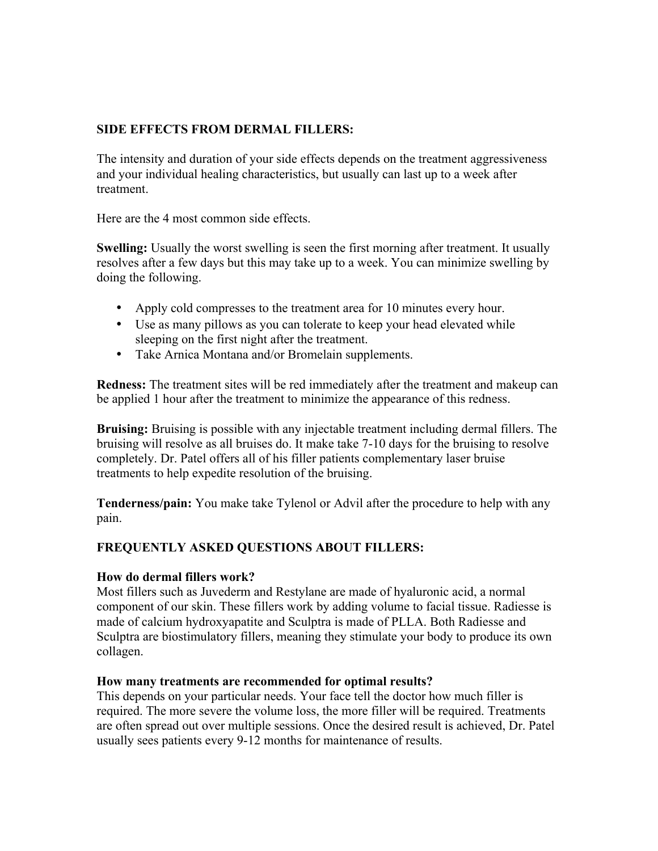# **SIDE EFFECTS FROM DERMAL FILLERS:**

The intensity and duration of your side effects depends on the treatment aggressiveness and your individual healing characteristics, but usually can last up to a week after treatment.

Here are the 4 most common side effects.

**Swelling:** Usually the worst swelling is seen the first morning after treatment. It usually resolves after a few days but this may take up to a week. You can minimize swelling by doing the following.

- Apply cold compresses to the treatment area for 10 minutes every hour.
- Use as many pillows as you can tolerate to keep your head elevated while sleeping on the first night after the treatment.
- Take Arnica Montana and/or Bromelain supplements.

**Redness:** The treatment sites will be red immediately after the treatment and makeup can be applied 1 hour after the treatment to minimize the appearance of this redness.

**Bruising:** Bruising is possible with any injectable treatment including dermal fillers. The bruising will resolve as all bruises do. It make take 7-10 days for the bruising to resolve completely. Dr. Patel offers all of his filler patients complementary laser bruise treatments to help expedite resolution of the bruising.

**Tenderness/pain:** You make take Tylenol or Advil after the procedure to help with any pain.

# **FREQUENTLY ASKED QUESTIONS ABOUT FILLERS:**

## **How do dermal fillers work?**

Most fillers such as Juvederm and Restylane are made of hyaluronic acid, a normal component of our skin. These fillers work by adding volume to facial tissue. Radiesse is made of calcium hydroxyapatite and Sculptra is made of PLLA. Both Radiesse and Sculptra are biostimulatory fillers, meaning they stimulate your body to produce its own collagen.

## **How many treatments are recommended for optimal results?**

This depends on your particular needs. Your face tell the doctor how much filler is required. The more severe the volume loss, the more filler will be required. Treatments are often spread out over multiple sessions. Once the desired result is achieved, Dr. Patel usually sees patients every 9-12 months for maintenance of results.